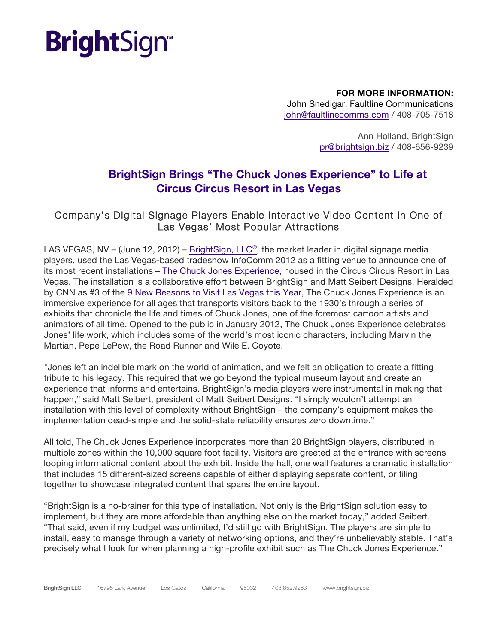## **Bright**Sign<sup>®</sup>

**FOR MORE INFORMATION:** John Snedigar, Faultline Communications john@faultlinecomms.com / 408-705-7518

> Ann Holland, BrightSign pr@brightsign.biz / 408-656-9239

### **BrightSign Brings "The Chuck Jones Experience" to Life at Circus Circus Resort in Las Vegas**

### Company's Digital Signage Players Enable Interactive Video Content in One of Las Vegas' Most Popular Attractions

LAS VEGAS, NV – (June 12, 2012) – BrightSign, LLC<sup>®</sup>, the market leader in digital signage media players, used the Las Vegas-based tradeshow InfoComm 2012 as a fitting venue to announce one of its most recent installations – [The Chuck Jones Experience,](http://www.chuckjonesexperience.com/) housed in the Circus Circus Resort in Las Vegas. The installation is a collaborative effort between BrightSign and Matt Seibert Designs. Heralded by CNN as #3 of the [9 New Reasons to Visit Las Vegas this Year,](http://www.cnngo.com/explorations/escape/usa/9-new-reasons-love-las-vegas-019840) The Chuck Jones Experience is an immersive experience for all ages that transports visitors back to the 1930's through a series of exhibits that chronicle the life and times of Chuck Jones, one of the foremost cartoon artists and animators of all time. Opened to the public in January 2012, The Chuck Jones Experience celebrates Jones' life work, which includes some of the world's most iconic characters, including Marvin the Martian, Pepe LePew, the Road Runner and Wile E. Coyote.

"Jones left an indelible mark on the world of animation, and we felt an obligation to create a fitting tribute to his legacy. This required that we go beyond the typical museum layout and create an experience that informs and entertains. BrightSign's media players were instrumental in making that happen," said Matt Seibert, president of Matt Seibert Designs. "I simply wouldn't attempt an installation with this level of complexity without BrightSign – the company's equipment makes the implementation dead-simple and the solid-state reliability ensures zero downtime."

All told, The Chuck Jones Experience incorporates more than 20 BrightSign players, distributed in multiple zones within the 10,000 square foot facility. Visitors are greeted at the entrance with screens looping informational content about the exhibit. Inside the hall, one wall features a dramatic installation that includes 15 different-sized screens capable of either displaying separate content, or tiling together to showcase integrated content that spans the entire layout.

"BrightSign is a no-brainer for this type of installation. Not only is the BrightSign solution easy to implement, but they are more affordable than anything else on the market today," added Seibert. "That said, even if my budget was unlimited, I'd still go with BrightSign. The players are simple to install, easy to manage through a variety of networking options, and they're unbelievably stable. That's precisely what I look for when planning a high-profile exhibit such as The Chuck Jones Experience."